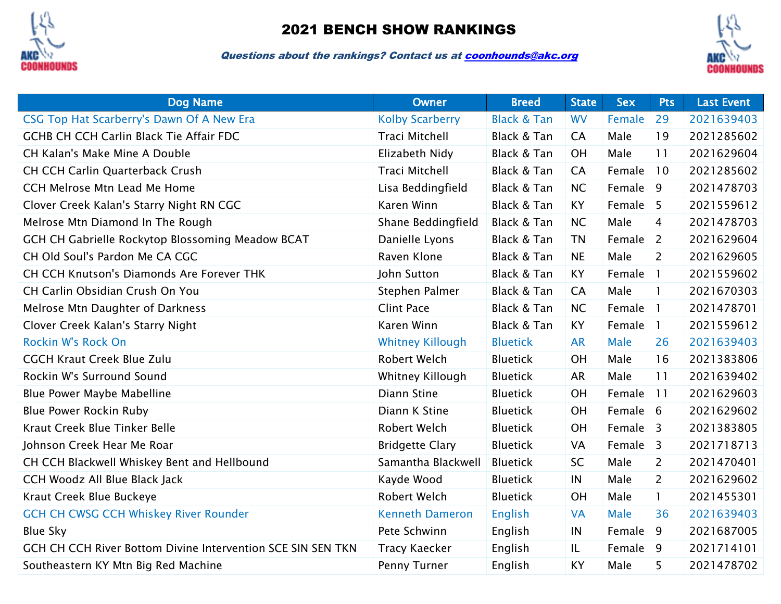

## 2021 BENCH SHOW RANKINGS

Questions about the rankings? Contact us a[t coonhounds@akc.org](mailto:coonhounds@akc.org)



| <b>Dog Name</b>                                             | <b>Owner</b>            | <b>Breed</b>           | <b>State</b> | <b>Sex</b> | <b>Pts</b>     | <b>Last Event</b> |
|-------------------------------------------------------------|-------------------------|------------------------|--------------|------------|----------------|-------------------|
| CSG Top Hat Scarberry's Dawn Of A New Era                   | <b>Kolby Scarberry</b>  | <b>Black &amp; Tan</b> | <b>WV</b>    | Female     | 29             | 2021639403        |
| <b>GCHB CH CCH Carlin Black Tie Affair FDC</b>              | <b>Traci Mitchell</b>   | Black & Tan            | <b>CA</b>    | Male       | 19             | 2021285602        |
| CH Kalan's Make Mine A Double                               | Elizabeth Nidy          | Black & Tan            | OH           | Male       | 11             | 2021629604        |
| <b>CH CCH Carlin Quarterback Crush</b>                      | <b>Traci Mitchell</b>   | Black & Tan            | <b>CA</b>    | Female     | 10             | 2021285602        |
| CCH Melrose Mtn Lead Me Home                                | Lisa Beddingfield       | Black & Tan            | NC           | Female     | 9              | 2021478703        |
| Clover Creek Kalan's Starry Night RN CGC                    | Karen Winn              | Black & Tan            | KY           | Female 5   |                | 2021559612        |
| Melrose Mtn Diamond In The Rough                            | Shane Beddingfield      | Black & Tan            | NC           | Male       | 4              | 2021478703        |
| GCH CH Gabrielle Rockytop Blossoming Meadow BCAT            | Danielle Lyons          | Black & Tan            | <b>TN</b>    | Female     | $\overline{2}$ | 2021629604        |
| CH Old Soul's Pardon Me CA CGC                              | Raven Klone             | Black & Tan            | <b>NE</b>    | Male       | $\overline{2}$ | 2021629605        |
| CH CCH Knutson's Diamonds Are Forever THK                   | John Sutton             | Black & Tan            | <b>KY</b>    | Female     | $\mathbf{1}$   | 2021559602        |
| CH Carlin Obsidian Crush On You                             | Stephen Palmer          | Black & Tan            | <b>CA</b>    | Male       | $\mathbf{1}$   | 2021670303        |
| Melrose Mtn Daughter of Darkness                            | <b>Clint Pace</b>       | Black & Tan            | NC           | Female     | $\mathbf{1}$   | 2021478701        |
| Clover Creek Kalan's Starry Night                           | Karen Winn              | Black & Tan            | KY           | Female     | $\mathbf{1}$   | 2021559612        |
| Rockin W's Rock On                                          | <b>Whitney Killough</b> | <b>Bluetick</b>        | <b>AR</b>    | Male       | 26             | 2021639403        |
| <b>CGCH Kraut Creek Blue Zulu</b>                           | <b>Robert Welch</b>     | <b>Bluetick</b>        | OH           | Male       | 16             | 2021383806        |
| Rockin W's Surround Sound                                   | Whitney Killough        | <b>Bluetick</b>        | <b>AR</b>    | Male       | 11             | 2021639402        |
| Blue Power Maybe Mabelline                                  | Diann Stine             | <b>Bluetick</b>        | OH           | Female     | 11             | 2021629603        |
| <b>Blue Power Rockin Ruby</b>                               | Diann K Stine           | <b>Bluetick</b>        | OH           | Female 6   |                | 2021629602        |
| Kraut Creek Blue Tinker Belle                               | Robert Welch            | <b>Bluetick</b>        | OH           | Female     | $\overline{3}$ | 2021383805        |
| Johnson Creek Hear Me Roar                                  | <b>Bridgette Clary</b>  | <b>Bluetick</b>        | VA           | Female     | $\overline{3}$ | 2021718713        |
| CH CCH Blackwell Whiskey Bent and Hellbound                 | Samantha Blackwell      | <b>Bluetick</b>        | SC           | Male       | $\overline{2}$ | 2021470401        |
| CCH Woodz All Blue Black Jack                               | Kayde Wood              | <b>Bluetick</b>        | IN           | Male       | $\overline{2}$ | 2021629602        |
| Kraut Creek Blue Buckeye                                    | <b>Robert Welch</b>     | <b>Bluetick</b>        | OH           | Male       | $\mathbf{1}$   | 2021455301        |
| <b>GCH CH CWSG CCH Whiskey River Rounder</b>                | <b>Kenneth Dameron</b>  | <b>English</b>         | <b>VA</b>    | Male       | 36             | 2021639403        |
| <b>Blue Sky</b>                                             | Pete Schwinn            | English                | IN           | Female     | 9              | 2021687005        |
| GCH CH CCH River Bottom Divine Intervention SCE SIN SEN TKN | <b>Tracy Kaecker</b>    | English                | IL           | Female 9   |                | 2021714101        |
| Southeastern KY Mtn Big Red Machine                         | Penny Turner            | English                | KY           | Male       | 5              | 2021478702        |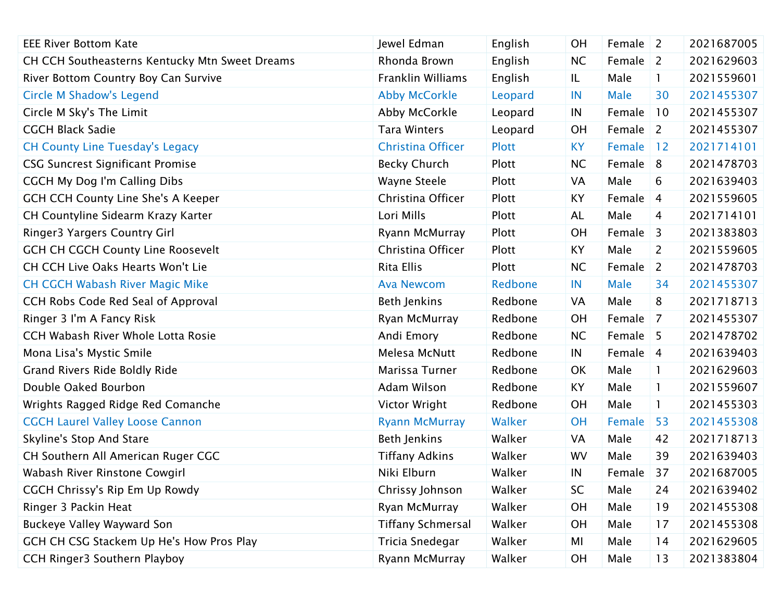| <b>EEE River Bottom Kate</b>                   | Jewel Edman              | English      | <b>OH</b> | Female $\vert$ 2 |                | 2021687005 |
|------------------------------------------------|--------------------------|--------------|-----------|------------------|----------------|------------|
| CH CCH Southeasterns Kentucky Mtn Sweet Dreams | Rhonda Brown             | English      | <b>NC</b> | Female           | $\vert$ 2      | 2021629603 |
| River Bottom Country Boy Can Survive           | Franklin Williams        | English      | IL        | Male             | $\mathbf{1}$   | 2021559601 |
| <b>Circle M Shadow's Legend</b>                | <b>Abby McCorkle</b>     | Leopard      | IN        | <b>Male</b>      | 30             | 2021455307 |
| Circle M Sky's The Limit                       | Abby McCorkle            | Leopard      | IN        | Female           | 10             | 2021455307 |
| <b>CGCH Black Sadie</b>                        | <b>Tara Winters</b>      | Leopard      | <b>OH</b> | Female $\vert$ 2 |                | 2021455307 |
| <b>CH County Line Tuesday's Legacy</b>         | Christina Officer        | <b>Plott</b> | <b>KY</b> | Female           | 12             | 2021714101 |
| <b>CSG Suncrest Significant Promise</b>        | <b>Becky Church</b>      | Plott        | <b>NC</b> | Female 8         |                | 2021478703 |
| <b>CGCH My Dog I'm Calling Dibs</b>            | Wayne Steele             | Plott        | VA        | Male             | 6              | 2021639403 |
| <b>GCH CCH County Line She's A Keeper</b>      | Christina Officer        | Plott        | KY        | Female           | $\overline{4}$ | 2021559605 |
| CH Countyline Sidearm Krazy Karter             | Lori Mills               | Plott        | AL        | Male             | 4              | 2021714101 |
| <b>Ringer3 Yargers Country Girl</b>            | Ryann McMurray           | Plott        | <b>OH</b> | Female           | 3              | 2021383803 |
| <b>GCH CH CGCH County Line Roosevelt</b>       | Christina Officer        | Plott        | KY        | Male             | $\mathbf{2}$   | 2021559605 |
| CH CCH Live Oaks Hearts Won't Lie              | Rita Ellis               | Plott        | <b>NC</b> | Female           | $\sqrt{2}$     | 2021478703 |
| <b>CH CGCH Wabash River Magic Mike</b>         | <b>Ava Newcom</b>        | Redbone      | IN        | <b>Male</b>      | 34             | 2021455307 |
| CCH Robs Code Red Seal of Approval             | <b>Beth Jenkins</b>      | Redbone      | VA        | Male             | 8              | 2021718713 |
| Ringer 3 I'm A Fancy Risk                      | Ryan McMurray            | Redbone      | <b>OH</b> | Female           | 7              | 2021455307 |
| CCH Wabash River Whole Lotta Rosie             | Andi Emory               | Redbone      | <b>NC</b> | Female $\vert$ 5 |                | 2021478702 |
| Mona Lisa's Mystic Smile                       | Melesa McNutt            | Redbone      | IN        | Female 4         |                | 2021639403 |
| Grand Rivers Ride Boldly Ride                  | Marissa Turner           | Redbone      | OK        | Male             | $\mathbf{I}$   | 2021629603 |
| Double Oaked Bourbon                           | Adam Wilson              | Redbone      | KY        | Male             | 1              | 2021559607 |
| Wrights Ragged Ridge Red Comanche              | Victor Wright            | Redbone      | <b>OH</b> | Male             | $\mathbf{1}$   | 2021455303 |
| <b>CGCH Laurel Valley Loose Cannon</b>         | <b>Ryann McMurray</b>    | Walker       | <b>OH</b> | Female           | 53             | 2021455308 |
| Skyline's Stop And Stare                       | <b>Beth Jenkins</b>      | Walker       | VA        | Male             | 42             | 2021718713 |
| CH Southern All American Ruger CGC             | <b>Tiffany Adkins</b>    | Walker       | WV        | Male             | 39             | 2021639403 |
| Wabash River Rinstone Cowgirl                  | Niki Elburn              | Walker       | IN        | Female           | 37             | 2021687005 |
| CGCH Chrissy's Rip Em Up Rowdy                 | Chrissy Johnson          | Walker       | SC        | Male             | 24             | 2021639402 |
| Ringer 3 Packin Heat                           | Ryan McMurray            | Walker       | OH        | Male             | 19             | 2021455308 |
| Buckeye Valley Wayward Son                     | <b>Tiffany Schmersal</b> | Walker       | OH        | Male             | 17             | 2021455308 |
| GCH CH CSG Stackem Up He's How Pros Play       | Tricia Snedegar          | Walker       | MI        | Male             | 14             | 2021629605 |
| CCH Ringer3 Southern Playboy                   | Ryann McMurray           | Walker       | OH        | Male             | 13             | 2021383804 |